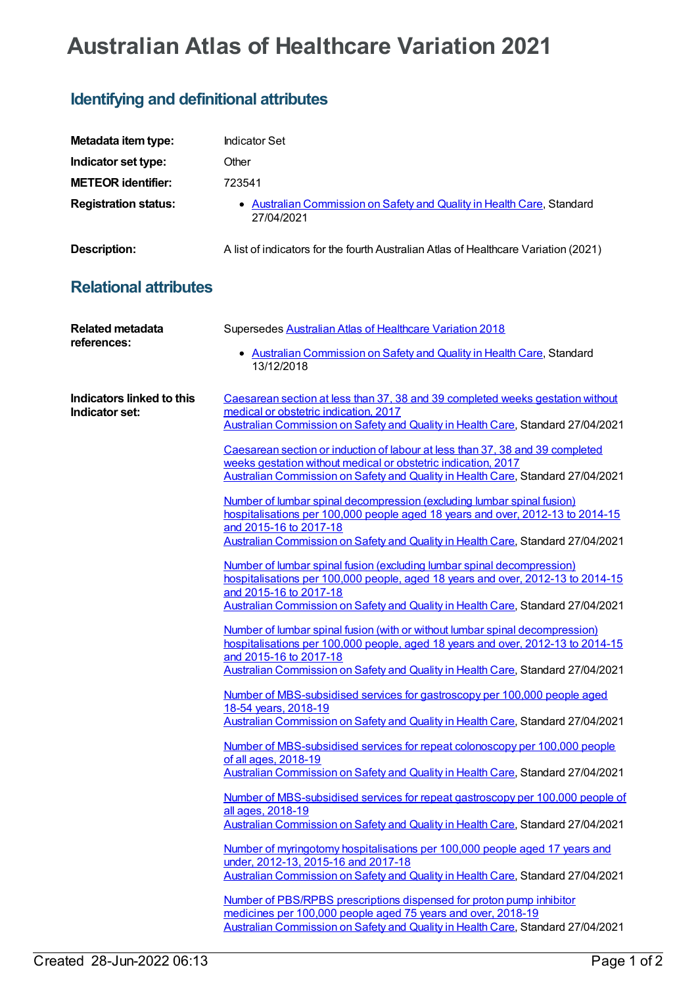## **Australian Atlas of Healthcare Variation 2021**

## **Identifying and definitional attributes**

| Metadata item type:                         | <b>Indicator Set</b>                                                                                                                                                                                                                                                                                                                                                                                                                                                                                                                                                                                                                                                                                                                                                                                                                                                                                                                                                                                                                                                                                                                                                                                                                                                                                                                                                                                                                                                                                                                                                                                                                                                                                                                                                                                                                                                                                                                                                                                                                                                                                                                            |
|---------------------------------------------|-------------------------------------------------------------------------------------------------------------------------------------------------------------------------------------------------------------------------------------------------------------------------------------------------------------------------------------------------------------------------------------------------------------------------------------------------------------------------------------------------------------------------------------------------------------------------------------------------------------------------------------------------------------------------------------------------------------------------------------------------------------------------------------------------------------------------------------------------------------------------------------------------------------------------------------------------------------------------------------------------------------------------------------------------------------------------------------------------------------------------------------------------------------------------------------------------------------------------------------------------------------------------------------------------------------------------------------------------------------------------------------------------------------------------------------------------------------------------------------------------------------------------------------------------------------------------------------------------------------------------------------------------------------------------------------------------------------------------------------------------------------------------------------------------------------------------------------------------------------------------------------------------------------------------------------------------------------------------------------------------------------------------------------------------------------------------------------------------------------------------------------------------|
| Indicator set type:                         | Other                                                                                                                                                                                                                                                                                                                                                                                                                                                                                                                                                                                                                                                                                                                                                                                                                                                                                                                                                                                                                                                                                                                                                                                                                                                                                                                                                                                                                                                                                                                                                                                                                                                                                                                                                                                                                                                                                                                                                                                                                                                                                                                                           |
| <b>METEOR identifier:</b>                   | 723541                                                                                                                                                                                                                                                                                                                                                                                                                                                                                                                                                                                                                                                                                                                                                                                                                                                                                                                                                                                                                                                                                                                                                                                                                                                                                                                                                                                                                                                                                                                                                                                                                                                                                                                                                                                                                                                                                                                                                                                                                                                                                                                                          |
| <b>Registration status:</b>                 | • Australian Commission on Safety and Quality in Health Care, Standard<br>27/04/2021                                                                                                                                                                                                                                                                                                                                                                                                                                                                                                                                                                                                                                                                                                                                                                                                                                                                                                                                                                                                                                                                                                                                                                                                                                                                                                                                                                                                                                                                                                                                                                                                                                                                                                                                                                                                                                                                                                                                                                                                                                                            |
| <b>Description:</b>                         | A list of indicators for the fourth Australian Atlas of Healthcare Variation (2021)                                                                                                                                                                                                                                                                                                                                                                                                                                                                                                                                                                                                                                                                                                                                                                                                                                                                                                                                                                                                                                                                                                                                                                                                                                                                                                                                                                                                                                                                                                                                                                                                                                                                                                                                                                                                                                                                                                                                                                                                                                                             |
| <b>Relational attributes</b>                |                                                                                                                                                                                                                                                                                                                                                                                                                                                                                                                                                                                                                                                                                                                                                                                                                                                                                                                                                                                                                                                                                                                                                                                                                                                                                                                                                                                                                                                                                                                                                                                                                                                                                                                                                                                                                                                                                                                                                                                                                                                                                                                                                 |
| <b>Related metadata</b><br>references:      | Supersedes Australian Atlas of Healthcare Variation 2018<br>• Australian Commission on Safety and Quality in Health Care, Standard<br>13/12/2018                                                                                                                                                                                                                                                                                                                                                                                                                                                                                                                                                                                                                                                                                                                                                                                                                                                                                                                                                                                                                                                                                                                                                                                                                                                                                                                                                                                                                                                                                                                                                                                                                                                                                                                                                                                                                                                                                                                                                                                                |
| Indicators linked to this<br>Indicator set: | Caesarean section at less than 37, 38 and 39 completed weeks gestation without<br>medical or obstetric indication, 2017<br>Australian Commission on Safety and Quality in Health Care, Standard 27/04/2021<br>Caesarean section or induction of labour at less than 37, 38 and 39 completed<br>weeks gestation without medical or obstetric indication, 2017<br>Australian Commission on Safety and Quality in Health Care, Standard 27/04/2021<br>Number of lumbar spinal decompression (excluding lumbar spinal fusion)<br>hospitalisations per 100,000 people aged 18 years and over, 2012-13 to 2014-15<br>and 2015-16 to 2017-18<br>Australian Commission on Safety and Quality in Health Care, Standard 27/04/2021<br>Number of lumbar spinal fusion (excluding lumbar spinal decompression)<br>hospitalisations per 100,000 people, aged 18 years and over, 2012-13 to 2014-15<br>and 2015-16 to 2017-18<br>Australian Commission on Safety and Quality in Health Care, Standard 27/04/2021<br>Number of lumbar spinal fusion (with or without lumbar spinal decompression)<br>hospitalisations per 100,000 people, aged 18 years and over, 2012-13 to 2014-15<br>and 2015-16 to 2017-18<br>Australian Commission on Safety and Quality in Health Care, Standard 27/04/2021<br>Number of MBS-subsidised services for gastroscopy per 100,000 people aged<br>18-54 years, 2018-19<br>Australian Commission on Safety and Quality in Health Care, Standard 27/04/2021<br>Number of MBS-subsidised services for repeat colonoscopy per 100,000 people<br>of all ages, 2018-19<br>Australian Commission on Safety and Quality in Health Care, Standard 27/04/2021<br>Number of MBS-subsidised services for repeat gastroscopy per 100,000 people of<br>all ages, 2018-19<br>Australian Commission on Safety and Quality in Health Care, Standard 27/04/2021<br>Number of myringotomy hospitalisations per 100,000 people aged 17 years and<br>under, 2012-13, 2015-16 and 2017-18<br>Australian Commission on Safety and Quality in Health Care, Standard 27/04/2021<br>Number of PBS/RPBS prescriptions dispensed for proton pump inhibitor |
|                                             | medicines per 100,000 people aged 75 years and over, 2018-19<br>Australian Commission on Safety and Quality in Health Care, Standard 27/04/2021                                                                                                                                                                                                                                                                                                                                                                                                                                                                                                                                                                                                                                                                                                                                                                                                                                                                                                                                                                                                                                                                                                                                                                                                                                                                                                                                                                                                                                                                                                                                                                                                                                                                                                                                                                                                                                                                                                                                                                                                 |